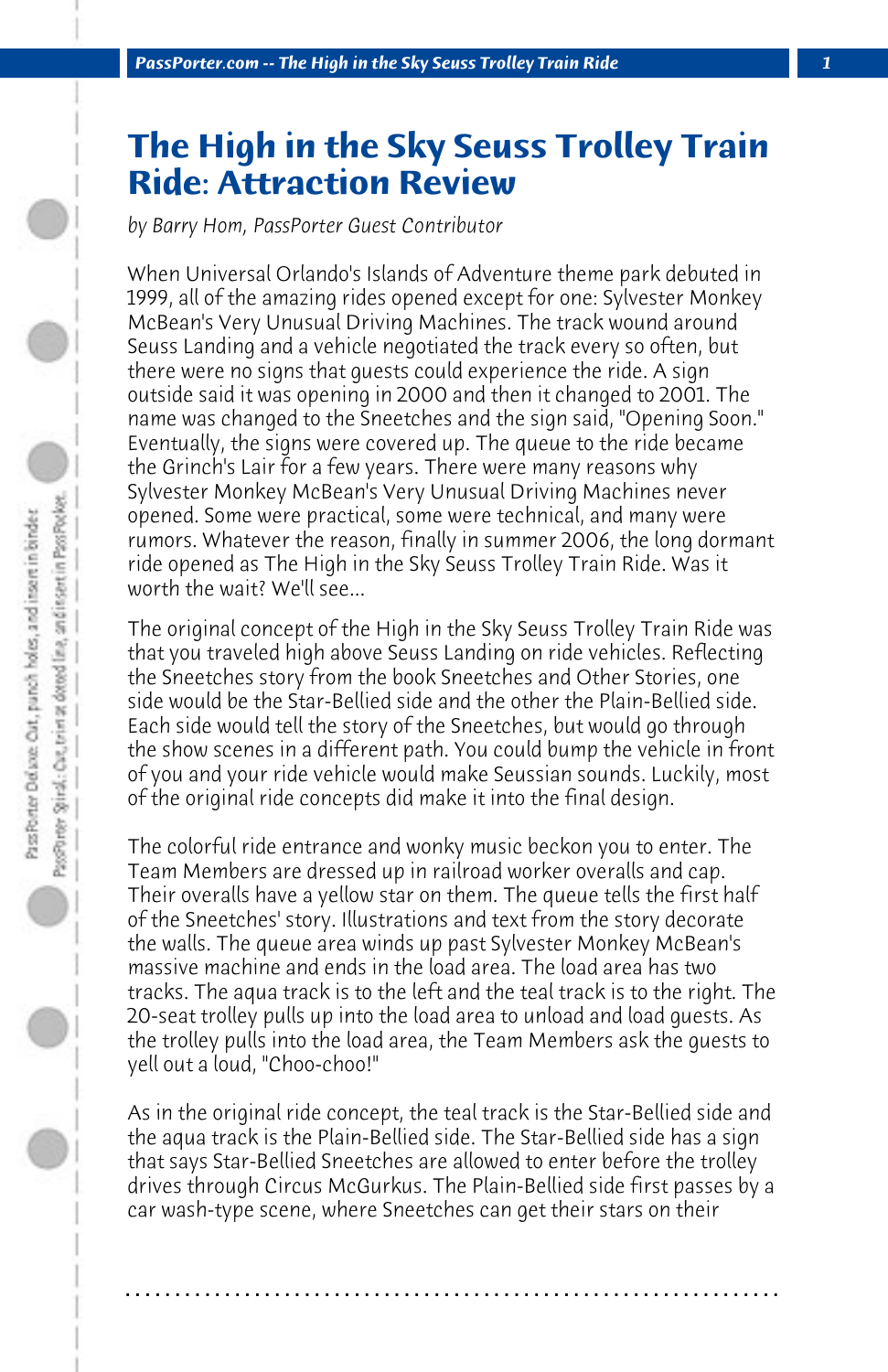## **The High in the Sky Seuss Trolley Train Ride: Attraction Review**

*by Barry Hom, PassPorter Guest Contributor*

When Universal Orlando's Islands of Adventure theme park debuted in 1999, all of the amazing rides opened except for one: Sylvester Monkey McBean's Very Unusual Driving Machines. The track wound around Seuss Landing and a vehicle negotiated the track every so often, but there were no signs that guests could experience the ride. A sign outside said it was opening in 2000 and then it changed to 2001. The name was changed to the Sneetches and the sign said, "Opening Soon." Eventually, the signs were covered up. The queue to the ride became the Grinch's Lair for a few years. There were many reasons why Sylvester Monkey McBean's Very Unusual Driving Machines never opened. Some were practical, some were technical, and many were rumors. Whatever the reason, finally in summer 2006, the long dormant ride opened as The High in the Sky Seuss Trolley Train Ride. Was it worth the wait? We'll see...

The original concept of the High in the Sky Seuss Trolley Train Ride was that you traveled high above Seuss Landing on ride vehicles. Reflecting the Sneetches story from the book Sneetches and Other Stories, one side would be the Star-Bellied side and the other the Plain-Bellied side. Each side would tell the story of the Sneetches, but would go through the show scenes in a different path. You could bump the vehicle in front of you and your ride vehicle would make Seussian sounds. Luckily, most of the original ride concepts did make it into the final design.

The colorful ride entrance and wonky music beckon you to enter. The Team Members are dressed up in railroad worker overalls and cap. Their overalls have a yellow star on them. The queue tells the first half of the Sneetches' story. Illustrations and text from the story decorate the walls. The queue area winds up past Sylvester Monkey McBean's massive machine and ends in the load area. The load area has two tracks. The aqua track is to the left and the teal track is to the right. The 20-seat trolley pulls up into the load area to unload and load guests. As the trolley pulls into the load area, the Team Members ask the guests to yell out a loud, "Choo-choo!"

As in the original ride concept, the teal track is the Star-Bellied side and the aqua track is the Plain-Bellied side. The Star-Bellied side has a sign that says Star-Bellied Sneetches are allowed to enter before the trolley drives through Circus McGurkus. The Plain-Bellied side first passes by a car wash-type scene, where Sneetches can get their stars on their

**. . . . . . . . . . . . . . . . . . . . . . . . . . . . . . . . . . . . . . . . . . . . . . . . . . . . . . . . . . . . . . . . . .**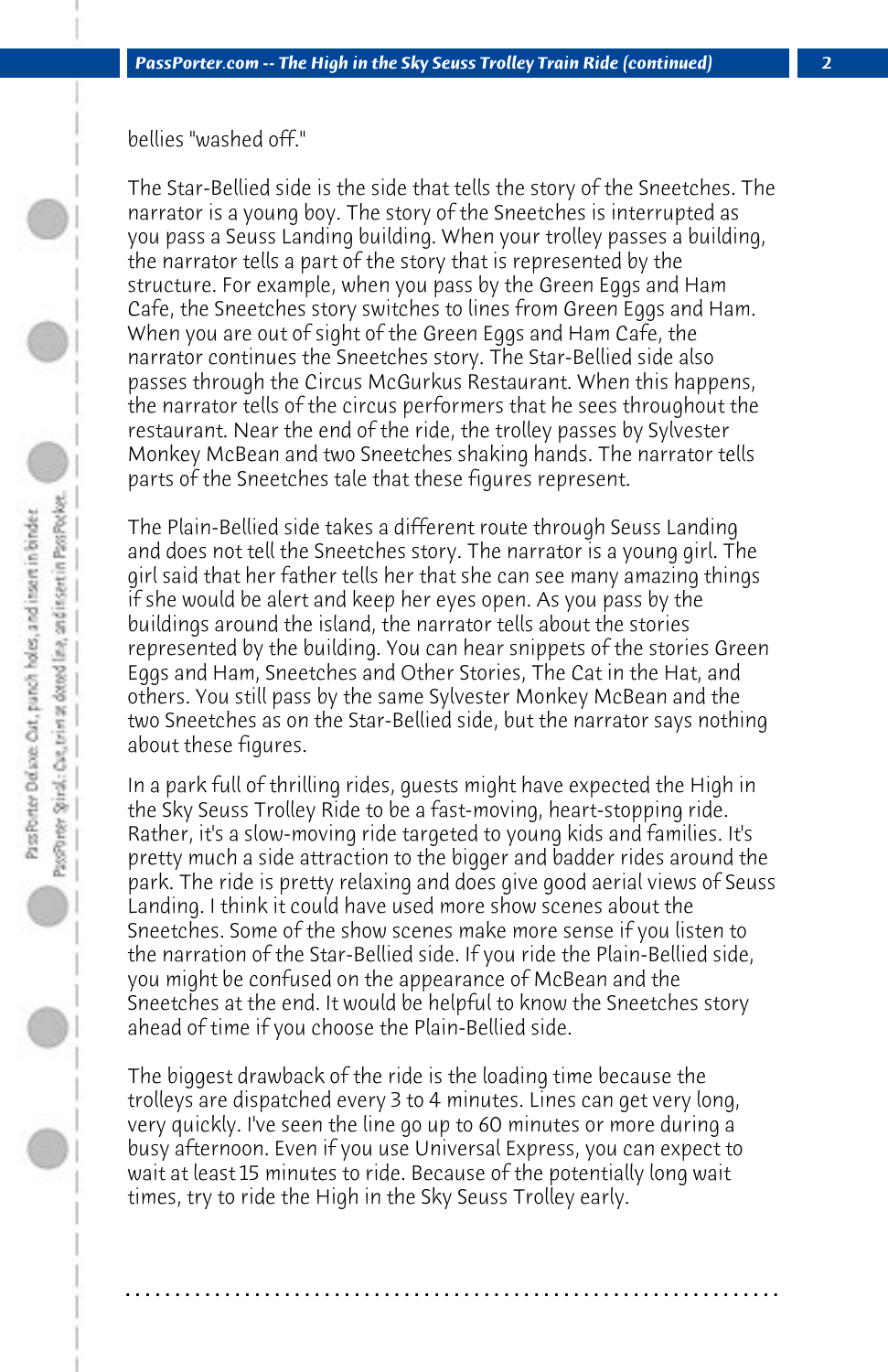bellies "washed off."

The Star-Bellied side is the side that tells the story of the Sneetches. The narrator is a young boy. The story of the Sneetches is interrupted as you pass a Seuss Landing building. When your trolley passes a building, the narrator tells a part of the story that is represented by the structure. For example, when you pass by the Green Eggs and Ham Cafe, the Sneetches story switches to lines from Green Eggs and Ham. When you are out of sight of the Green Eggs and Ham Cafe, the narrator continues the Sneetches story. The Star-Bellied side also passes through the Circus McGurkus Restaurant. When this happens, the narrator tells of the circus performers that he sees throughout the restaurant. Near the end of the ride, the trolley passes by Sylvester Monkey McBean and two Sneetches shaking hands. The narrator tells parts of the Sneetches tale that these figures represent.

The Plain-Bellied side takes a different route through Seuss Landing and does not tell the Sneetches story. The narrator is a young girl. The girl said that her father tells her that she can see many amazing things if she would be alert and keep her eyes open. As you pass by the buildings around the island, the narrator tells about the stories represented by the building. You can hear snippets of the stories Green Eggs and Ham, Sneetches and Other Stories, The Cat in the Hat, and others. You still pass by the same Sylvester Monkey McBean and the two Sneetches as on the Star-Bellied side, but the narrator says nothing about these figures.

In a park full of thrilling rides, guests might have expected the High in the Sky Seuss Trolley Ride to be a fast-moving, heart-stopping ride. Rather, it's a slow-moving ride targeted to young kids and families. It's pretty much a side attraction to the bigger and badder rides around the park. The ride is pretty relaxing and does give good aerial views of Seuss Landing. I think it could have used more show scenes about the Sneetches. Some of the show scenes make more sense if you listen to the narration of the Star-Bellied side. If you ride the Plain-Bellied side, you might be confused on the appearance of McBean and the Sneetches at the end. It would be helpful to know the Sneetches story ahead of time if you choose the Plain-Bellied side.

The biggest drawback of the ride is the loading time because the trolleys are dispatched every 3 to 4 minutes. Lines can get very long, very quickly. I've seen the line go up to 60 minutes or more during a busy afternoon. Even if you use Universal Express, you can expect to wait at least 15 minutes to ride. Because of the potentially long wait times, try to ride the High in the Sky Seuss Trolley early.

**. . . . . . . . . . . . . . . . . . . . . . . . . . . . . . . . . . . . . . . . . . . . . . . . . . . . . . . . . . . . . . . . . .**